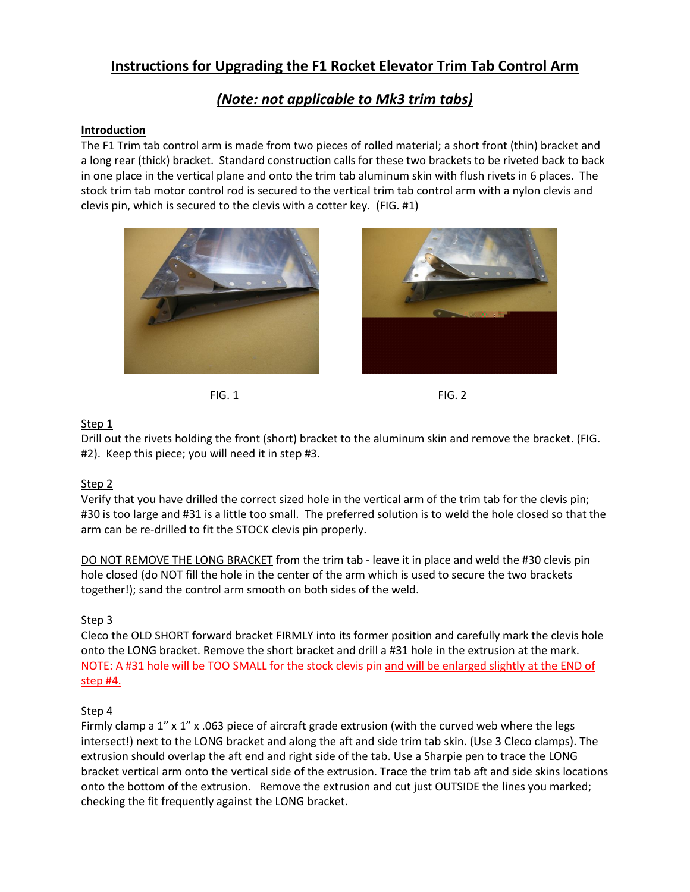# **Instructions for Upgrading the F1 Rocket Elevator Trim Tab Control Arm**

## *(Note: not applicable to Mk3 trim tabs)*

#### **Introduction**

The F1 Trim tab control arm is made from two pieces of rolled material; a short front (thin) bracket and a long rear (thick) bracket. Standard construction calls for these two brackets to be riveted back to back in one place in the vertical plane and onto the trim tab aluminum skin with flush rivets in 6 places. The stock trim tab motor control rod is secured to the vertical trim tab control arm with a nylon clevis and clevis pin, which is secured to the clevis with a cotter key. (FIG. #1)







### Step 1

Drill out the rivets holding the front (short) bracket to the aluminum skin and remove the bracket. (FIG. #2). Keep this piece; you will need it in step #3.

### Step 2

Verify that you have drilled the correct sized hole in the vertical arm of the trim tab for the clevis pin; #30 is too large and #31 is a little too small. The preferred solution is to weld the hole closed so that the arm can be re-drilled to fit the STOCK clevis pin properly.

DO NOT REMOVE THE LONG BRACKET from the trim tab - leave it in place and weld the #30 clevis pin hole closed (do NOT fill the hole in the center of the arm which is used to secure the two brackets together!); sand the control arm smooth on both sides of the weld.

### Step 3

Cleco the OLD SHORT forward bracket FIRMLY into its former position and carefully mark the clevis hole onto the LONG bracket. Remove the short bracket and drill a #31 hole in the extrusion at the mark. NOTE: A #31 hole will be TOO SMALL for the stock clevis pin and will be enlarged slightly at the END of step #4.

#### Step 4

Firmly clamp a  $1'' \times 1''$  x .063 piece of aircraft grade extrusion (with the curved web where the legs intersect!) next to the LONG bracket and along the aft and side trim tab skin. (Use 3 Cleco clamps). The extrusion should overlap the aft end and right side of the tab. Use a Sharpie pen to trace the LONG bracket vertical arm onto the vertical side of the extrusion. Trace the trim tab aft and side skins locations onto the bottom of the extrusion. Remove the extrusion and cut just OUTSIDE the lines you marked; checking the fit frequently against the LONG bracket.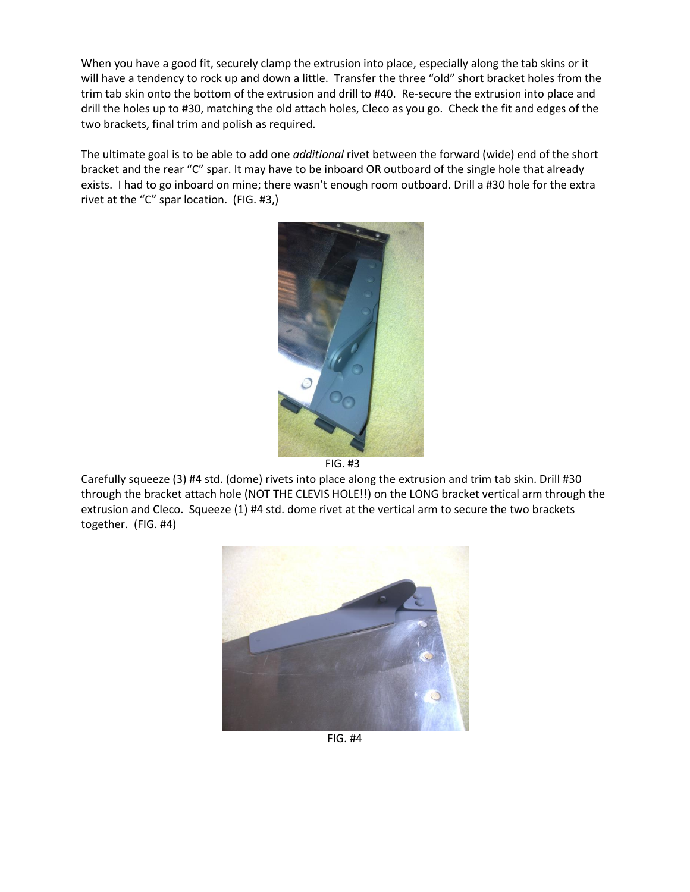When you have a good fit, securely clamp the extrusion into place, especially along the tab skins or it will have a tendency to rock up and down a little. Transfer the three "old" short bracket holes from the trim tab skin onto the bottom of the extrusion and drill to #40. Re-secure the extrusion into place and drill the holes up to #30, matching the old attach holes, Cleco as you go. Check the fit and edges of the two brackets, final trim and polish as required.

The ultimate goal is to be able to add one *additional* rivet between the forward (wide) end of the short bracket and the rear "C" spar. It may have to be inboard OR outboard of the single hole that already exists. I had to go inboard on mine; there wasn't enough room outboard. Drill a #30 hole for the extra rivet at the "C" spar location. (FIG. #3,)



FIG. #3

Carefully squeeze (3) #4 std. (dome) rivets into place along the extrusion and trim tab skin. Drill #30 through the bracket attach hole (NOT THE CLEVIS HOLE!!) on the LONG bracket vertical arm through the extrusion and Cleco. Squeeze (1) #4 std. dome rivet at the vertical arm to secure the two brackets together. (FIG. #4)



FIG. #4